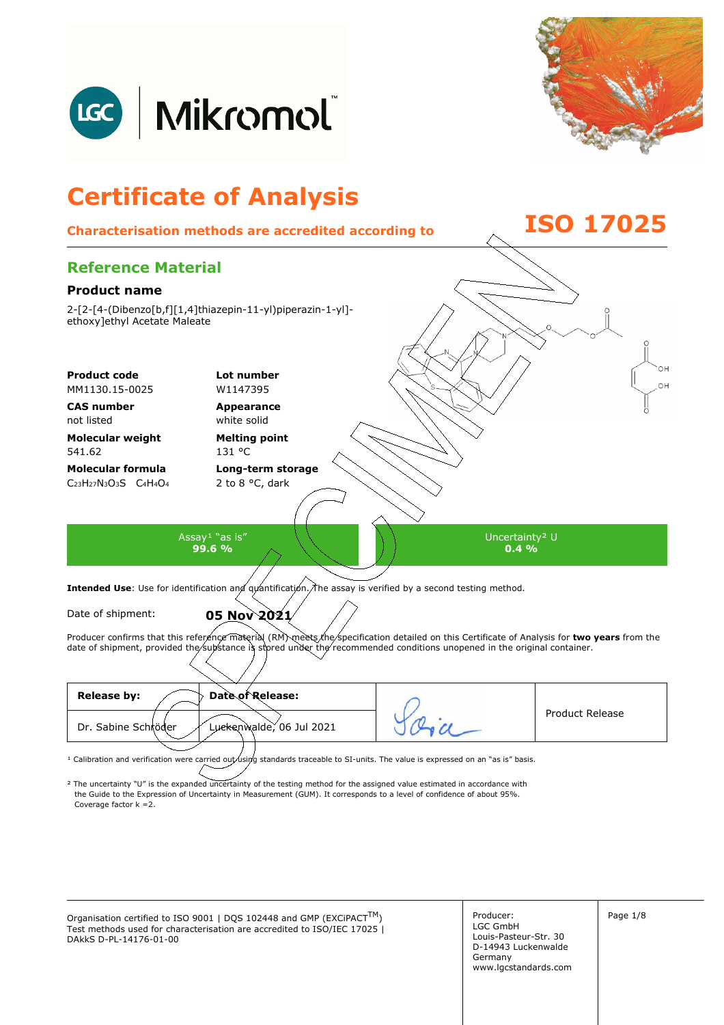



## **Certificate of Analysis Characterisation methods are accredited according to ISO 17025 Reference Material Product name**  2-[2-[4-(Dibenzo[b,f][1,4]thiazepin-11-yl)piperazin-1-yl] ethoxy]ethyl Acetate Maleate OН **Product code Lot number** OH MM1130.15-0025 W1147395 **CAS number Appearance**  not listed white solid **Molecular weight Melting point**  541.62 131 °C **Molecular formula Long-term storage**  C23H27N3O3S C4H4O<sup>4</sup> 2 to 8 °C, dark Assay<sup>1</sup> "as is" Uncertainty² U **99.6 %**   $0.4\%$ Intended Use: Use for identification and quantification. The assay is verified by a second testing method. Date of shipment: **05 Nov 2021** Producer confirms that this reference material (RM) meets the specification detailed on this Certificate of Analysis for two years from the date of shipment, provided the substance is stored under the recommended conditions unopened in the original container. **Release by: Date of Release:**  Product Release

<sup>1</sup> Calibration and verification were carried out using standards traceable to SI-units. The value is expressed on an "as is" basis.

² The uncertainty "U" is the expanded uncertainty of the testing method for the assigned value estimated in accordance with Coverage factor k =2. the Guide to the Expression of Uncertainty in Measurement (GUM). It corresponds to a level of confidence of about 95%.

Luckenwalde, 06 Jul 2021

Organisation certified to ISO 9001 | DQS 102448 and GMP (EXCiPACT<sup>TM</sup>)  $\vert$  Producer:  $\vert$  Page 1/8 Test methods used for characterisation are accredited to ISO/IEC 17025 | DAkkS D-PL-14176-01-00

Dr. Sabine Schröder

Producer: LGC GmbH Louis-Pasteur-Str. 30 D-14943 Luckenwalde Germany www.lgcstandards.com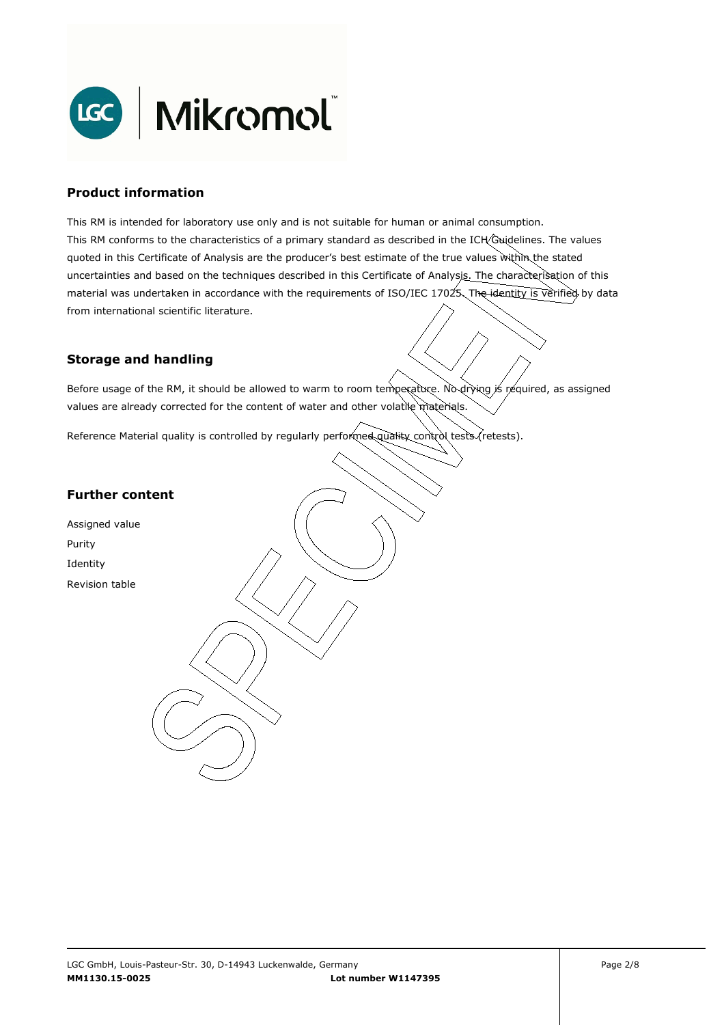

### **Product information**

This RM is intended for laboratory use only and is not suitable for human or animal consumption. This RM conforms to the characteristics of a primary standard as described in the ICH Guidelines. The values quoted in this Certificate of Analysis are the producer's best estimate of the true values within the stated uncertainties and based on the techniques described in this Certificate of Analysis. The characterisation of this material was undertaken in accordance with the requirements of ISO/IEC 17025. The identity is verified by data from international scientific literature.

## **Storage and handling**

Before usage of the RM, it should be allowed to warm to room temperature. No drying is required, as assigned values are already corrected for the content of water and other volatile materials.

Reference Material quality is controlled by regularly performed quality control tests (retests).

## **Further content**

Assigned value Purity Identity Revision table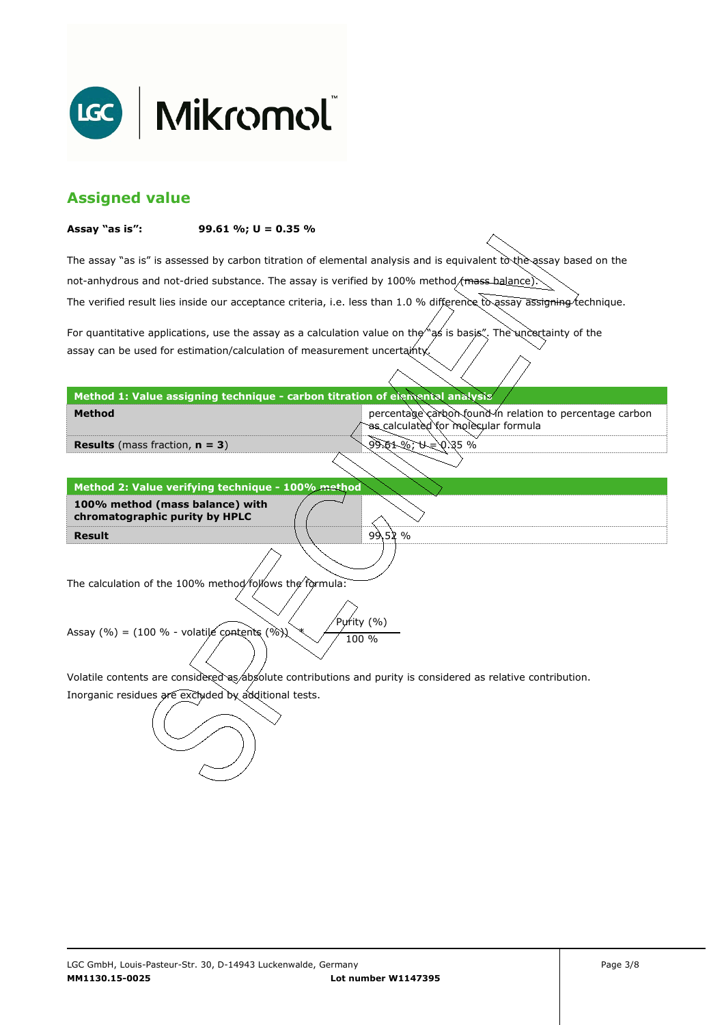

## **Assigned value**

#### **Assay "as is": 99.61 %; U = 0.35 %**

The assay "as is" is assessed by carbon titration of elemental analysis and is equivalent to the assay based on the The verified result lies inside our acceptance criteria, i.e. less than 1.0 % difference to assay assigning technique. not-anhydrous and not-dried substance. The assay is verified by 100% method/mass-balance)

For quantitative applications, use the assay as a calculation value on the  $\gamma$  as is basis". The uncertainty of the assay can be used for estimation/calculation of measurement uncertainty.

**Method 1: Value assigning technique - carbon titration of elemental analysis** 

percentage carbon found in relation to percentage carbon as calculated for molecular formula

9ે.61 %; પ = 0.35 %

 $99.52%$ 

**Results** (mass fraction, **n = 3**)

**Method** 

**Result Method 2: Value verifying technique - 100% method 100% method (mass balance) with chromatographic purity by HPLC** 

The calculation of the 100% method follows the formula:

Purity (%) Assay (%) = (100 % - volatile contents (%)  $\chi$  / 100 %

Volatile contents are considered as absolute contributions and purity is considered as relative contribution.

Inorganic residues are excluded by additional tests.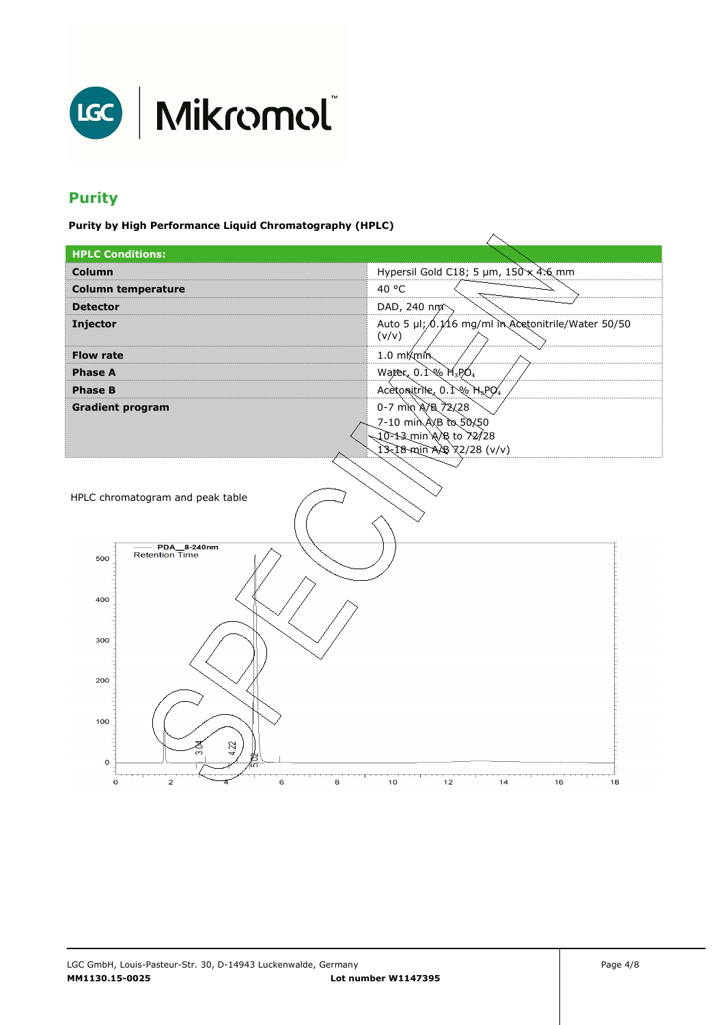

# **Purity**

**Purity by High Performance Liquid Chromatography (HPLC)** 

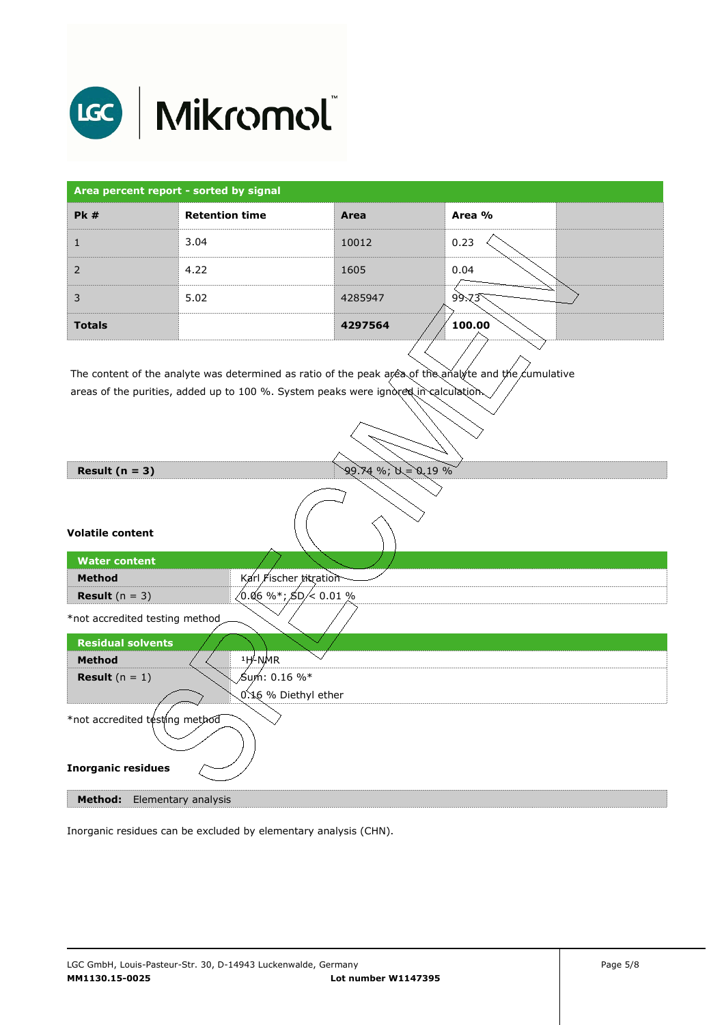

| Area percent report - sorted by signal |                       |         |        |
|----------------------------------------|-----------------------|---------|--------|
| PK#                                    | <b>Retention time</b> | Area    | Area % |
|                                        | 3.04                  | 10012   | 0.23   |
| $\overline{2}$                         | 4.22                  | 1605    | 0.04   |
| 3                                      | 5.02                  | 4285947 | 99.73  |
| <b>Totals</b>                          |                       | 4297564 | 100.00 |

The content of the analyte was determined as ratio of the peak area of the analyte and the cumulative areas of the purities, added up to 100 %. System peaks were ignored in calculation.

| Result $(n = 3)$                                            | $99.74$ %; $N = 0.19$ %         |
|-------------------------------------------------------------|---------------------------------|
| <b>Volatile content</b>                                     |                                 |
| <b>Water content</b>                                        |                                 |
| <b>Method</b>                                               | Karl Fischer titration          |
| <b>Result</b> $(n = 3)$                                     | $(0.06\%^*; \text{SD} / 0.01\%$ |
| *not accredited testing method                              |                                 |
| <b>Residual solvents</b>                                    |                                 |
| <b>Method</b>                                               | $1H$ -NMR                       |
| <b>Result</b> $(n = 1)$                                     | ∕Sum : 0.16 %*                  |
|                                                             | 0.16 % Diethyl ether            |
| *not accredited testing method<br><b>Inorganic residues</b> |                                 |
| Method:<br>Elementary analysis                              |                                 |

Inorganic residues can be excluded by elementary analysis (CHN).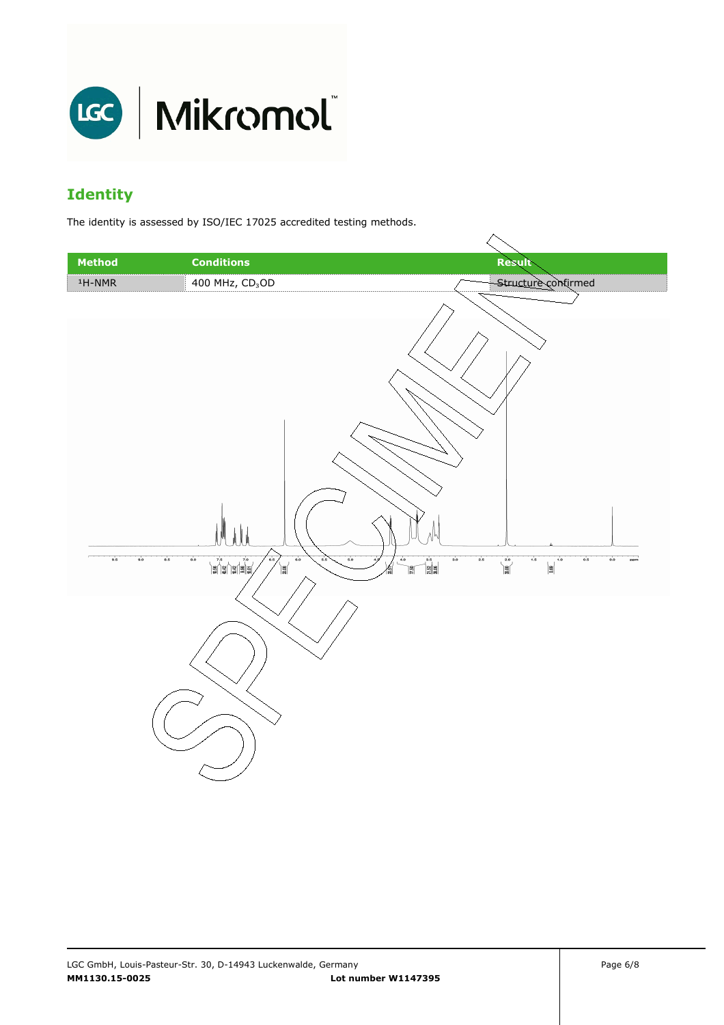

# **Identity**

The identity is assessed by ISO/IEC 17025 accredited testing methods.

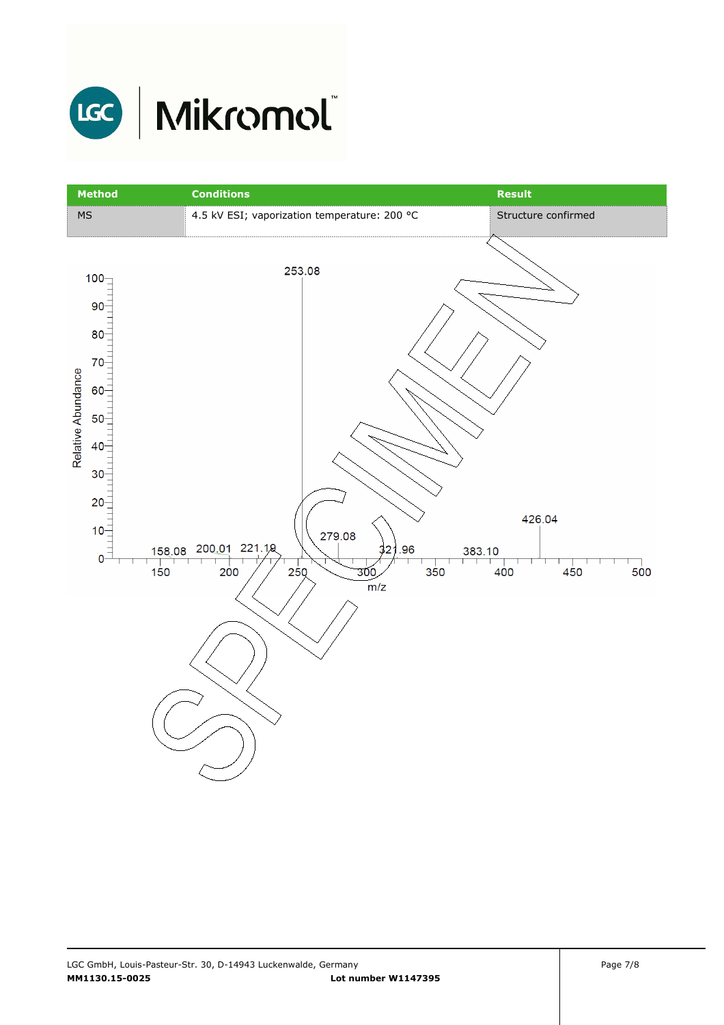